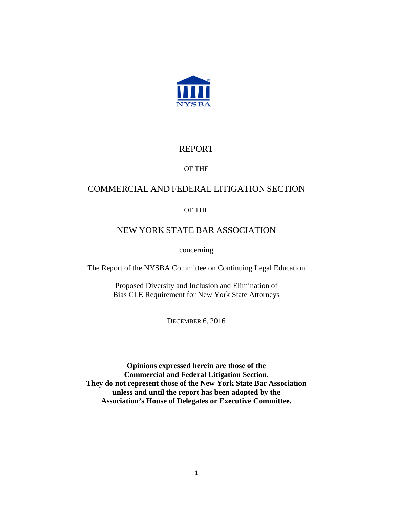

### REPORT

### OF THE

## COMMERCIAL AND FEDERAL LITIGATION SECTION

### OF THE

### NEW YORK STATE BAR ASSOCIATION

concerning

The Report of the NYSBA Committee on Continuing Legal Education

Proposed Diversity and Inclusion and Elimination of Bias CLE Requirement for New York State Attorneys

DECEMBER 6, 2016

**Opinions expressed herein are those of the Commercial and Federal Litigation Section. They do not represent those of the New York State Bar Association unless and until the report has been adopted by the Association's House of Delegates or Executive Committee.**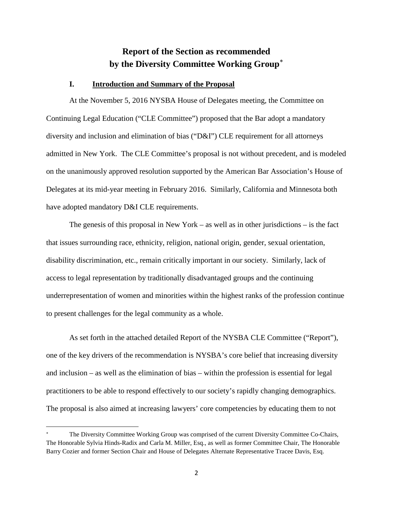# **Report of the Section as recommended by the Diversity Committee Working Group**[∗](#page-1-0)

### **I. Introduction and Summary of the Proposal**

At the November 5, 2016 NYSBA House of Delegates meeting, the Committee on Continuing Legal Education ("CLE Committee") proposed that the Bar adopt a mandatory diversity and inclusion and elimination of bias ("D&I") CLE requirement for all attorneys admitted in New York. The CLE Committee's proposal is not without precedent, and is modeled on the unanimously approved resolution supported by the American Bar Association's House of Delegates at its mid-year meeting in February 2016. Similarly, California and Minnesota both have adopted mandatory D&I CLE requirements.

The genesis of this proposal in New York – as well as in other jurisdictions – is the fact that issues surrounding race, ethnicity, religion, national origin, gender, sexual orientation, disability discrimination, etc., remain critically important in our society. Similarly, lack of access to legal representation by traditionally disadvantaged groups and the continuing underrepresentation of women and minorities within the highest ranks of the profession continue to present challenges for the legal community as a whole.

As set forth in the attached detailed Report of the NYSBA CLE Committee ("Report"), one of the key drivers of the recommendation is NYSBA's core belief that increasing diversity and inclusion – as well as the elimination of bias – within the profession is essential for legal practitioners to be able to respond effectively to our society's rapidly changing demographics. The proposal is also aimed at increasing lawyers' core competencies by educating them to not

l

<span id="page-1-0"></span>The Diversity Committee Working Group was comprised of the current Diversity Committee Co-Chairs, The Honorable Sylvia Hinds-Radix and Carla M. Miller, Esq., as well as former Committee Chair, The Honorable Barry Cozier and former Section Chair and House of Delegates Alternate Representative Tracee Davis, Esq.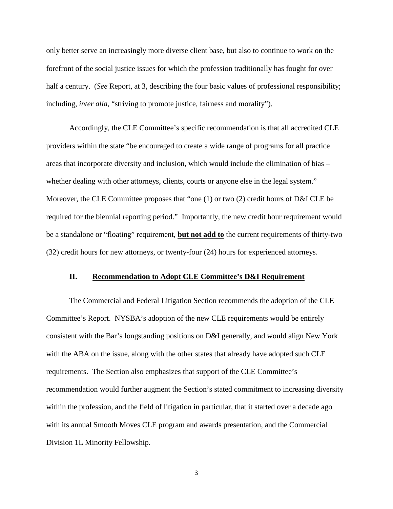only better serve an increasingly more diverse client base, but also to continue to work on the forefront of the social justice issues for which the profession traditionally has fought for over half a century. (*See* Report, at 3, describing the four basic values of professional responsibility; including, *inter alia*, "striving to promote justice, fairness and morality").

Accordingly, the CLE Committee's specific recommendation is that all accredited CLE providers within the state "be encouraged to create a wide range of programs for all practice areas that incorporate diversity and inclusion, which would include the elimination of bias – whether dealing with other attorneys, clients, courts or anyone else in the legal system." Moreover, the CLE Committee proposes that "one (1) or two (2) credit hours of D&I CLE be required for the biennial reporting period." Importantly, the new credit hour requirement would be a standalone or "floating" requirement, **but not add to** the current requirements of thirty-two (32) credit hours for new attorneys, or twenty-four (24) hours for experienced attorneys.

#### **II. Recommendation to Adopt CLE Committee's D&I Requirement**

The Commercial and Federal Litigation Section recommends the adoption of the CLE Committee's Report. NYSBA's adoption of the new CLE requirements would be entirely consistent with the Bar's longstanding positions on D&I generally, and would align New York with the ABA on the issue, along with the other states that already have adopted such CLE requirements. The Section also emphasizes that support of the CLE Committee's recommendation would further augment the Section's stated commitment to increasing diversity within the profession, and the field of litigation in particular, that it started over a decade ago with its annual Smooth Moves CLE program and awards presentation, and the Commercial Division 1L Minority Fellowship.

3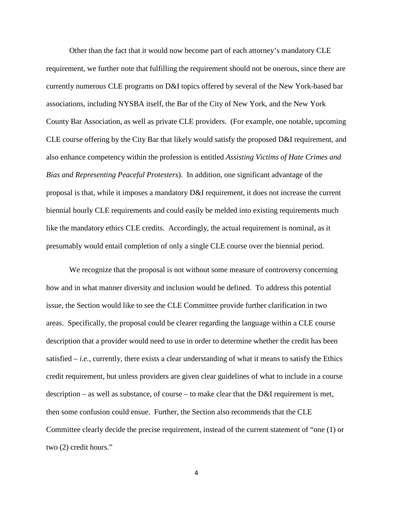Other than the fact that it would now become part of each attorney's mandatory CLE requirement, we further note that fulfilling the requirement should not be onerous, since there are currently numerous CLE programs on D&I topics offered by several of the New York-based bar associations, including NYSBA itself, the Bar of the City of New York, and the New York County Bar Association, as well as private CLE providers. (For example, one notable, upcoming CLE course offering by the City Bar that likely would satisfy the proposed D&I requirement, and also enhance competency within the profession is entitled *Assisting Victims of Hate Crimes and Bias and Representing Peaceful Protesters*). In addition, one significant advantage of the proposal is that, while it imposes a mandatory D&I requirement, it does not increase the current biennial hourly CLE requirements and could easily be melded into existing requirements much like the mandatory ethics CLE credits. Accordingly, the actual requirement is nominal, as it presumably would entail completion of only a single CLE course over the biennial period.

We recognize that the proposal is not without some measure of controversy concerning how and in what manner diversity and inclusion would be defined. To address this potential issue, the Section would like to see the CLE Committee provide further clarification in two areas. Specifically, the proposal could be clearer regarding the language within a CLE course description that a provider would need to use in order to determine whether the credit has been satisfied  $-i.e.,$  currently, there exists a clear understanding of what it means to satisfy the Ethics credit requirement, but unless providers are given clear guidelines of what to include in a course description – as well as substance, of course – to make clear that the D&I requirement is met, then some confusion could ensue. Further, the Section also recommends that the CLE Committee clearly decide the precise requirement, instead of the current statement of "one (1) or two (2) credit hours."

4